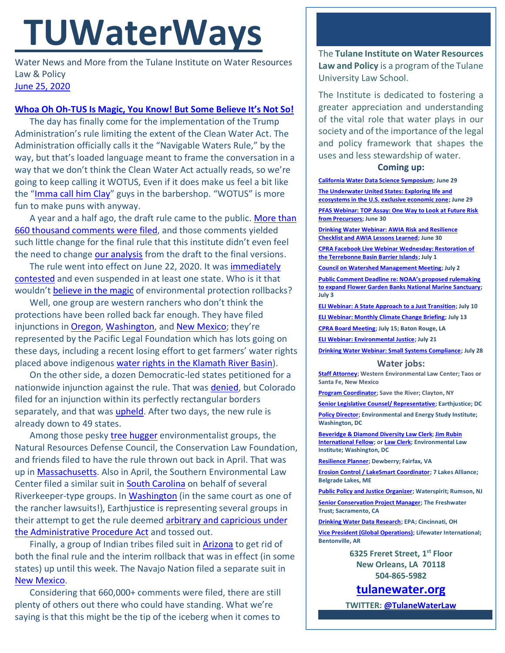# **TUWaterWays**

Water News and More from the Tulane Institute on Water Resources Law & Policy [June 25, 2020](https://thisdayinwaterhistory.wordpress.com/)

## **[Whoa Oh Oh-TUS Is Magic, You Know! But](https://www.youtube.com/watch?v=MzlK0OGpIRs) Some Believe It's Not So!**

The day has finally come for the implementation of the Trump Administration's rule limiting the extent of the Clean Water Act. The Administration officially calls it the "Navigable Waters Rule," by the way, but that's loaded language meant to frame the conversation in a way that we don't think the Clean Water Act actually reads, so we're going to keep calling it WOTUS, Even if it does make us feel a bit like the "[Imma call him Clay](https://www.youtube.com/watch?v=h3FGi7Wwl2s)" guys in the barbershop. "WOTUS" is more fun to make puns with anyway.

A year and a half ago, the draft rule came to the public. [More than](https://www.regulations.gov/docket?D=EPA-HQ-OW-2018-0149)  [660 thousand comments were filed,](https://www.regulations.gov/docket?D=EPA-HQ-OW-2018-0149) and those comments yielded such little change for the final rule that this institute didn't even feel the need to change [our analysis](https://a21005ea-f0f0-4cff-a527-7c658373c740.filesusr.com/ugd/32079b_c136a0836d184119b5cc0bf76e7bf928.pdf) from the draft to the final versions.

The rule went into effect on June 22, 2020. It was [immediately](https://www.azcentral.com/story/news/local/arizona-environment/2020/06/23/tribes-environmentalists-sue-stop-rollback-clean-water-act-protections/3236470001/)  [contested](https://www.azcentral.com/story/news/local/arizona-environment/2020/06/23/tribes-environmentalists-sue-stop-rollback-clean-water-act-protections/3236470001/) and even suspended in at least one state. Who is it that wouldn't [believe in the magic](https://www.youtube.com/watch?v=oL7XdoS5Je4) of environmental protection rollbacks?

Well, one group are western ranchers who don't think the protections have been rolled back far enough. They have filed injunctions in [Oregon,](https://www.eenews.net/assets/2020/06/23/document_gw_01.pdf) [Washington,](https://www.eenews.net/assets/2020/06/23/document_gw_02.pdf) and [New Mexico](https://www.eenews.net/assets/2020/06/23/document_gw_03.pdf); they're represented by the Pacific Legal Foundation which has lots going on these days, including a recent losing effort to get farmers' water rights placed above indigenous [water rights in the Klamath River Basin\)](https://www.times-standard.com/2020/06/22/supreme-court-declines-to-reconsider-tribes-water-rights-at-klamath-river/).

On the other side, a dozen Democratic-led states petitioned for a nationwide injunction against the rule. That was [denied,](https://www.eenews.net/assets/2020/06/23/document_gw_05.pdf) but Colorado filed for an injunction within its perfectly rectangular borders separately, and that was *upheld*. After two days, the new rule is already down to 49 states.

Among those pesky [tree hugger](https://www.youtube.com/watch?v=R378SwPH-b0) environmentalist groups, the Natural Resources Defense Council, the Conservation Law Foundation, and friends filed to have the rule thrown out back in April. That was up in [Massachusetts.](https://www.eenews.net/assets/2020/04/29/document_gw_07.pdf) Also in April, the Southern Environmental Law Center filed a similar suit in **South Carolina** on behalf of several Riverkeeper-type groups. In [Washington](https://www.eenews.net/assets/2020/06/22/document_gw_04.pdf) (in the same court as one of the rancher lawsuits!), Earthjustice is representing several groups in their attempt to get the rule deemed [arbitrary and capricious](https://ballotpedia.org/Arbitrary-or-capricious_test) under [the Administrative Procedure Act](https://ballotpedia.org/Arbitrary-or-capricious_test) and tossed out.

Finally, a group of Indian tribes filed suit in [Arizona](https://www.eenews.net/assets/2020/06/22/document_gw_05.pdf) to get rid of both the final rule and the interim rollback that was in effect (in some states) up until this week. The Navajo Nation filed a separate suit in [New Mexico.](https://www.eenews.net/assets/2020/06/24/document_gw_02.pdf)

Considering that 660,000+ comments were filed, there are still plenty of others out there who could have standing. What we're saying is that this might be the tip of the iceberg when it comes to The **Tulane Institute on Water Resources Law and Policy** is a program of the Tulane University Law School.

The Institute is dedicated to fostering a greater appreciation and understanding of the vital role that water plays in our society and of the importance of the legal and policy framework that shapes the uses and less stewardship of water.

### **Coming up:**

**[California Water Data Science Symposium;](https://www.eventbrite.com/e/2020-california-water-data-science-symposium-tickets-86455846765) June 29 [The Underwater United States: Exploring life and](https://whoi.zoom.us/webinar/register/3415929272992/WN_XQIpZ3bZSWOc4h5A6pKbAQ)  [ecosystems in the U.S. exclusive economic zone;](https://whoi.zoom.us/webinar/register/3415929272992/WN_XQIpZ3bZSWOc4h5A6pKbAQ) June 29**

**[PFAS Webinar: TOP Assay: One Way to Look at Future Risk](https://www.testamericainc.com/services-we-offer/webinars/upcoming-webinars/part-5-top-assay-one-way-to-look-at-future-risk-from-precursors/)  [from Precursors;](https://www.testamericainc.com/services-we-offer/webinars/upcoming-webinars/part-5-top-assay-one-way-to-look-at-future-risk-from-precursors/) June 30**

**[Drinking Water Webinar: AWIA Risk and Resilience](https://www.epa.gov/water-research/small-systems-monthly-webinar-series)  [Checklist and AWIA Lessons Learned;](https://www.epa.gov/water-research/small-systems-monthly-webinar-series) June 30**

**[CPRA Facebook Live Webinar Wednesday: Restoration of](https://coastal.la.gov/calendar/)  [the Terrebonne Basin Barrier Islands;](https://coastal.la.gov/calendar/) July 1**

**[Council on Watershed Management Meeting;](https://www.watershed.la.gov/calendar/event/2735/) July 2**

**[Public Comment Deadline re: NOAA's proposed rulemaking](https://flowergarden.noaa.gov/management/expansionnpr.html)  [to expand Flower Garden Banks National Marine Sanctuary;](https://flowergarden.noaa.gov/management/expansionnpr.html) July 3**

**[ELI Webinar: A State Approach to a Just Transition;](https://www.eli.org/events/state-approach-just-transition) July 10**

**[ELI Webinar: Monthly Climate Change Briefing;](https://www.eli.org/events/monthly-climate-change-briefing-july-2020) July 13**

**CPRA [Board Meeting;](http://coastal.la.gov/calendar/) July 15; Baton Rouge, LA**

**[ELI Webinar: Environmental Justice;](https://www.eli.org/events/environmental-justice-eli-summer-school-2020) July 21**

**[Drinking Water Webinar: Small Systems Compliance;](https://www.epa.gov/water-research/small-systems-monthly-webinar-series) July 28**

#### **Water jobs:**

**[Staff Attorney;](https://westernlaw.org/staff-attorney-position-opening/) Western Environmental Law Center; Taos or Santa Fe, New Mexico**

**[Program Coordinator;](https://waterkeeper.org/wp-content/uploads/2020/06/Program-Coordinator-Position-Description-2020-06.pdf) Save the River; Clayton, NY**

**[Senior Legislative Counsel/ Representative;](https://jobs.jobvite.com/earthjustice/job/oBYHcfwc?nl=1) Earthjustice; DC**

**[Policy Director;](https://www.eesi.org/about/careers) Environmental and Energy Study Institute; Washington, DC**

**[Beveridge & Diamond Diversity Law Clerk;](https://www.eli.org/employment/henry-l-diamond-bd-law-clerk) [Jim Rubin](https://workforcenow.adp.com/mascsr/default/mdf/recruitment/recruitment.html?cid=82bc5b12-ae17-4634-b907-3b62f1097668&ccId=19000101_000001&jobId=305906&source=CC3&lang=en_US)  [International Fellow;](https://workforcenow.adp.com/mascsr/default/mdf/recruitment/recruitment.html?cid=82bc5b12-ae17-4634-b907-3b62f1097668&ccId=19000101_000001&jobId=305906&source=CC3&lang=en_US) o[r Law Clerk;](https://www.eli.org/employment/law-clerk) Environmental Law Institute; Washington, DC**

**[Resilience Planner;](https://careers-dewberry.icims.com/jobs/7798/job?mobile=false&width=1020&height=500&bga=true&needsRedirect=false&jan1offset=-300&jun1offset=-240) Dewberry; Fairfax, VA**

**[Erosion Control / LakeSmart Coordinator;](https://www.indeed.com/viewjob?cmp=7-Lakes-Alliance&from=iaBackPress&jk=403de0f86671c0b3&q=%22watershed%22&t=Erosion%20Control&vjs=3) 7 Lakes Alliance; Belgrade Lakes, ME**

**[Public Policy and Justice Organizer;](https://www.idealist.org/en/nonprofit-job/401d31c0c633496a9aaa54662d6121cc-public-policy-and-justice-organizer-waterspirit-rumson) Waterspirit; Rumson, NJ**

**[Senior Conservation Project Manager;](https://www.thefreshwatertrust.org/wp-content/uploads/2020/04/Sr-Project-Manager-California-June-2020.pdf) The Freshwater Trust; Sacramento, CA**

**[Drinking Water Data Research;](https://www.zintellect.com/Opportunity/Details/EPA-NSSC-0008-8) EPA; Cincinnati, OH**

**[Vice President \(Global Operations\);](https://lifewater.org/careers/#op-395406-vice-president-global-operations) Lifewater International; Bentonville, AR**

> **6325 Freret Street, 1st Floor New Orleans, LA 70118 504-865-5982**

**[tulanewater.org](file:///C:/Users/waterlaw/Downloads/tulanewater.org)**

**TWITTER[: @TulaneWaterLaw](http://www.twitter.com/TulaneWaterLaw)**